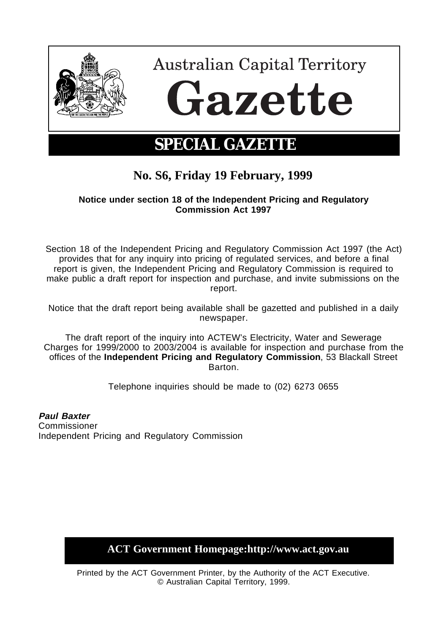

## **No. S6, Friday 19 February, 1999**

## **Notice under section 18 of the Independent Pricing and Regulatory Commission Act 1997**

Section 18 of the Independent Pricing and Regulatory Commission Act 1997 (the Act) provides that for any inquiry into pricing of regulated services, and before a final report is given, the Independent Pricing and Regulatory Commission is required to make public a draft report for inspection and purchase, and invite submissions on the report.

Notice that the draft report being available shall be gazetted and published in a daily newspaper.

The draft report of the inquiry into ACTEW's Electricity, Water and Sewerage Charges for 1999/2000 to 2003/2004 is available for inspection and purchase from the offices of the **Independent Pricing and Regulatory Commission**, 53 Blackall Street Barton.

Telephone inquiries should be made to (02) 6273 0655

**Paul Baxter** Commissioner Independent Pricing and Regulatory Commission

**ACT Government Homepage:http://www.act.gov.au**

Printed by the ACT Government Printer, by the Authority of the ACT Executive. © Australian Capital Territory, 1999.